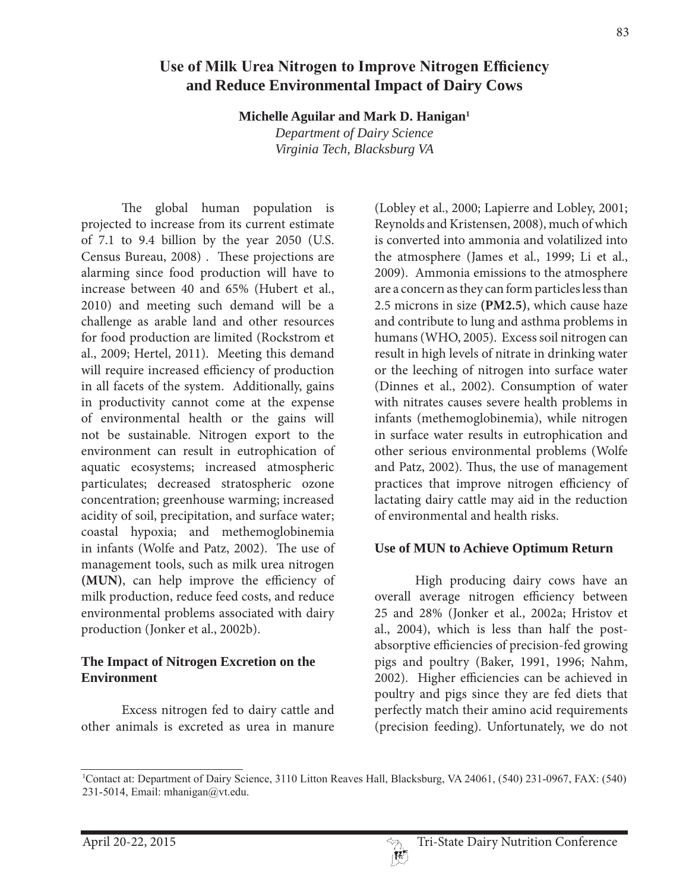#### Contact at: Department of Dairy Science, 3110 Litton Reaves Hall, Blacksburg, VA 24061, (540) 231-0967, FAX: (540) 231-5014, Email: mhanigan@vt.edu.

# Use of Milk Urea Nitrogen to Improve Nitrogen Efficiency **and Reduce Environmental Impact of Dairy Cows**

**Michelle Aguilar and Mark D. Hanigan1**

*Department of Dairy Science Virginia Tech, Blacksburg VA*

 The global human population is projected to increase from its current estimate of 7.1 to 9.4 billion by the year 2050 (U.S. Census Bureau, 2008) . These projections are alarming since food production will have to increase between 40 and 65% (Hubert et al., 2010) and meeting such demand will be a challenge as arable land and other resources for food production are limited (Rockstrom et al., 2009; Hertel, 2011). Meeting this demand will require increased efficiency of production in all facets of the system. Additionally, gains in productivity cannot come at the expense of environmental health or the gains will not be sustainable. Nitrogen export to the environment can result in eutrophication of aquatic ecosystems; increased atmospheric particulates; decreased stratospheric ozone concentration; greenhouse warming; increased acidity of soil, precipitation, and surface water; coastal hypoxia; and methemoglobinemia in infants (Wolfe and Patz, 2002). The use of management tools, such as milk urea nitrogen **(MUN)**, can help improve the efficiency of milk production, reduce feed costs, and reduce environmental problems associated with dairy production (Jonker et al., 2002b).

## **The Impact of Nitrogen Excretion on the Environment**

 Excess nitrogen fed to dairy cattle and other animals is excreted as urea in manure

(Lobley et al., 2000; Lapierre and Lobley, 2001; Reynolds and Kristensen, 2008), much of which is converted into ammonia and volatilized into the atmosphere (James et al., 1999; Li et al., 2009). Ammonia emissions to the atmosphere are a concern as they can form particles less than 2.5 microns in size **(PM2.5)**, which cause haze and contribute to lung and asthma problems in humans (WHO, 2005). Excess soil nitrogen can result in high levels of nitrate in drinking water or the leeching of nitrogen into surface water (Dinnes et al., 2002). Consumption of water with nitrates causes severe health problems in infants (methemoglobinemia), while nitrogen in surface water results in eutrophication and other serious environmental problems (Wolfe and Patz, 2002). Thus, the use of management practices that improve nitrogen efficiency of lactating dairy cattle may aid in the reduction of environmental and health risks.

## **Use of MUN to Achieve Optimum Return**

 High producing dairy cows have an overall average nitrogen efficiency between 25 and 28% (Jonker et al., 2002a; Hristov et al., 2004), which is less than half the postabsorptive efficiencies of precision-fed growing pigs and poultry (Baker, 1991, 1996; Nahm, 2002). Higher efficiencies can be achieved in poultry and pigs since they are fed diets that perfectly match their amino acid requirements (precision feeding). Unfortunately, we do not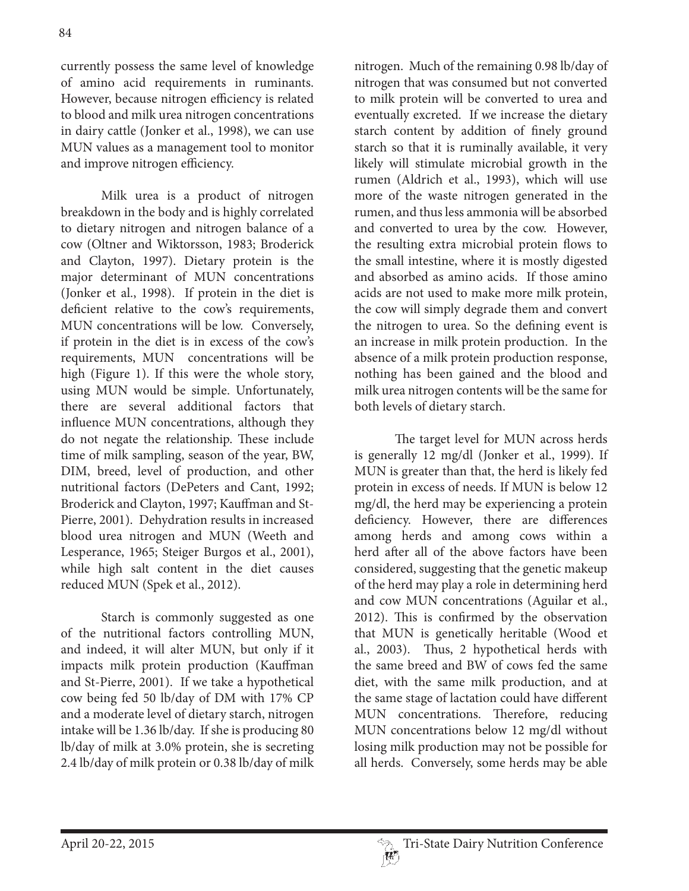currently possess the same level of knowledge of amino acid requirements in ruminants. However, because nitrogen efficiency is related to blood and milk urea nitrogen concentrations in dairy cattle (Jonker et al., 1998), we can use MUN values as a management tool to monitor and improve nitrogen efficiency.

 Milk urea is a product of nitrogen breakdown in the body and is highly correlated to dietary nitrogen and nitrogen balance of a cow (Oltner and Wiktorsson, 1983; Broderick and Clayton, 1997). Dietary protein is the major determinant of MUN concentrations (Jonker et al., 1998). If protein in the diet is deficient relative to the cow's requirements, MUN concentrations will be low. Conversely, if protein in the diet is in excess of the cow's requirements, MUN concentrations will be high (Figure 1). If this were the whole story, using MUN would be simple. Unfortunately, there are several additional factors that influence MUN concentrations, although they do not negate the relationship. These include time of milk sampling, season of the year, BW, DIM, breed, level of production, and other nutritional factors (DePeters and Cant, 1992; Broderick and Clayton, 1997; Kauffman and St-Pierre, 2001). Dehydration results in increased blood urea nitrogen and MUN (Weeth and Lesperance, 1965; Steiger Burgos et al., 2001), while high salt content in the diet causes reduced MUN (Spek et al., 2012).

 Starch is commonly suggested as one of the nutritional factors controlling MUN, and indeed, it will alter MUN, but only if it impacts milk protein production (Kauffman and St-Pierre, 2001). If we take a hypothetical cow being fed 50 lb/day of DM with 17% CP and a moderate level of dietary starch, nitrogen intake will be 1.36 lb/day. If she is producing 80 lb/day of milk at 3.0% protein, she is secreting 2.4 lb/day of milk protein or 0.38 lb/day of milk

nitrogen. Much of the remaining 0.98 lb/day of nitrogen that was consumed but not converted to milk protein will be converted to urea and eventually excreted. If we increase the dietary starch content by addition of finely ground starch so that it is ruminally available, it very likely will stimulate microbial growth in the rumen (Aldrich et al., 1993), which will use more of the waste nitrogen generated in the rumen, and thus less ammonia will be absorbed and converted to urea by the cow. However, the resulting extra microbial protein flows to the small intestine, where it is mostly digested and absorbed as amino acids. If those amino acids are not used to make more milk protein, the cow will simply degrade them and convert the nitrogen to urea. So the defining event is an increase in milk protein production. In the absence of a milk protein production response, nothing has been gained and the blood and milk urea nitrogen contents will be the same for both levels of dietary starch.

 The target level for MUN across herds is generally 12 mg/dl (Jonker et al., 1999). If MUN is greater than that, the herd is likely fed protein in excess of needs. If MUN is below 12 mg/dl, the herd may be experiencing a protein deficiency. However, there are differences among herds and among cows within a herd after all of the above factors have been considered, suggesting that the genetic makeup of the herd may play a role in determining herd and cow MUN concentrations (Aguilar et al., 2012). This is confirmed by the observation that MUN is genetically heritable (Wood et al., 2003). Thus, 2 hypothetical herds with the same breed and BW of cows fed the same diet, with the same milk production, and at the same stage of lactation could have different MUN concentrations. Therefore, reducing MUN concentrations below 12 mg/dl without losing milk production may not be possible for all herds. Conversely, some herds may be able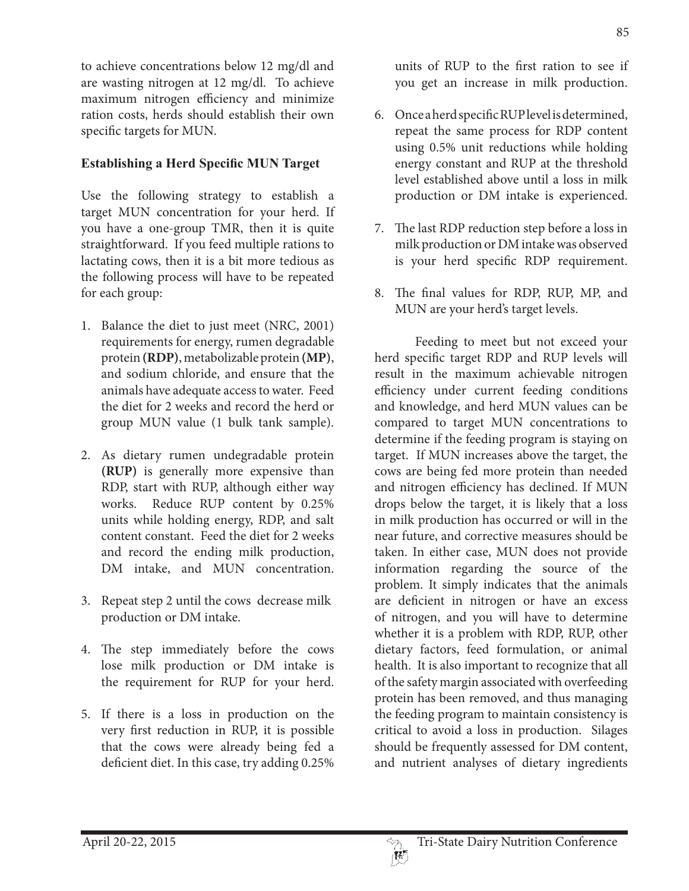animals have adequate access to water. Feed the diet for 2 weeks and record the herd or group MUN value (1 bulk tank sample).

for each group:

specific targets for MUN.

2. As dietary rumen undegradable protein **(RUP)** is generally more expensive than RDP, start with RUP, although either way works. Reduce RUP content by 0.25% units while holding energy, RDP, and salt content constant. Feed the diet for 2 weeks and record the ending milk production, DM intake, and MUN concentration.

to achieve concentrations below 12 mg/dl and are wasting nitrogen at 12 mg/dl. To achieve maximum nitrogen efficiency and minimize ration costs, herds should establish their own

**Establishing a Herd Specific MUN Target** 

Use the following strategy to establish a target MUN concentration for your herd. If you have a one-group TMR, then it is quite straightforward. If you feed multiple rations to lactating cows, then it is a bit more tedious as the following process will have to be repeated

1. Balance the diet to just meet (NRC, 2001) requirements for energy, rumen degradable protein **(RDP)**, metabolizable protein **(MP)**, and sodium chloride, and ensure that the

- 3. Repeat step 2 until the cows decrease milk production or DM intake.
- 4. The step immediately before the cows lose milk production or DM intake is the requirement for RUP for your herd.
- 5. If there is a loss in production on the very first reduction in RUP, it is possible that the cows were already being fed a deficient diet. In this case, try adding 0.25%

units of RUP to the first ration to see if you get an increase in milk production.

- 6. Once a herd specific RUP level is determined, repeat the same process for RDP content using 0.5% unit reductions while holding energy constant and RUP at the threshold level established above until a loss in milk production or DM intake is experienced.
- 7. The last RDP reduction step before a loss in milk production or DM intake was observed is your herd specific RDP requirement.
- 8. The final values for RDP, RUP, MP, and MUN are your herd's target levels.

 Feeding to meet but not exceed your herd specific target RDP and RUP levels will result in the maximum achievable nitrogen efficiency under current feeding conditions and knowledge, and herd MUN values can be compared to target MUN concentrations to determine if the feeding program is staying on target. If MUN increases above the target, the cows are being fed more protein than needed and nitrogen efficiency has declined. If MUN drops below the target, it is likely that a loss in milk production has occurred or will in the near future, and corrective measures should be taken. In either case, MUN does not provide information regarding the source of the problem. It simply indicates that the animals are deficient in nitrogen or have an excess of nitrogen, and you will have to determine whether it is a problem with RDP, RUP, other dietary factors, feed formulation, or animal health. It is also important to recognize that all of the safety margin associated with overfeeding protein has been removed, and thus managing the feeding program to maintain consistency is critical to avoid a loss in production. Silages should be frequently assessed for DM content, and nutrient analyses of dietary ingredients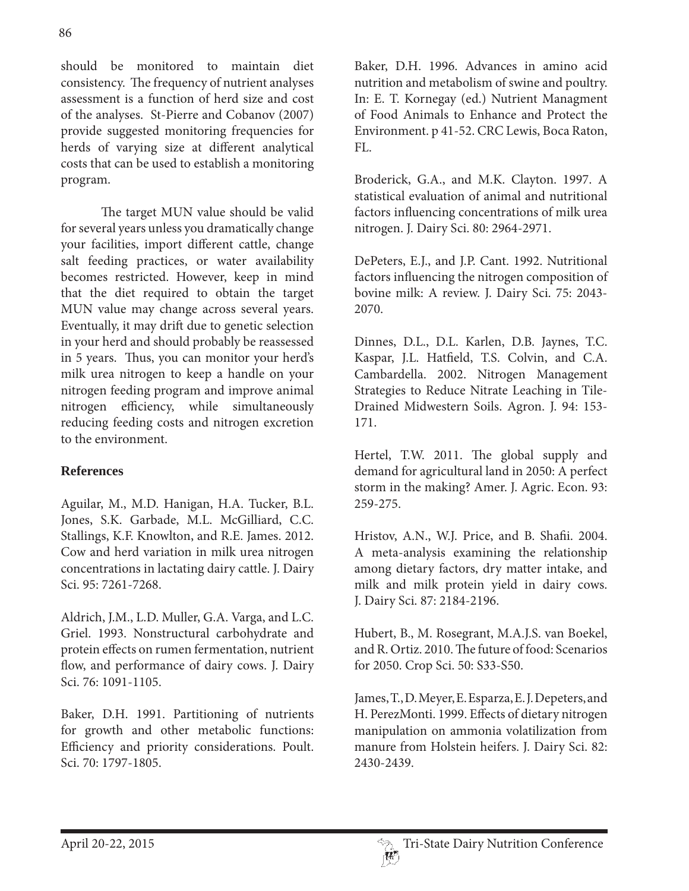should be monitored to maintain diet consistency. The frequency of nutrient analyses assessment is a function of herd size and cost of the analyses. St-Pierre and Cobanov (2007) provide suggested monitoring frequencies for herds of varying size at different analytical costs that can be used to establish a monitoring program.

 The target MUN value should be valid for several years unless you dramatically change your facilities, import different cattle, change salt feeding practices, or water availability becomes restricted. However, keep in mind that the diet required to obtain the target MUN value may change across several years. Eventually, it may drift due to genetic selection in your herd and should probably be reassessed in 5 years. Thus, you can monitor your herd's milk urea nitrogen to keep a handle on your nitrogen feeding program and improve animal nitrogen efficiency, while simultaneously reducing feeding costs and nitrogen excretion to the environment.

# **References**

Aguilar, M., M.D. Hanigan, H.A. Tucker, B.L. Jones, S.K. Garbade, M.L. McGilliard, C.C. Stallings, K.F. Knowlton, and R.E. James. 2012. Cow and herd variation in milk urea nitrogen concentrations in lactating dairy cattle. J. Dairy Sci. 95: 7261-7268.

Aldrich, J.M., L.D. Muller, G.A. Varga, and L.C. Griel. 1993. Nonstructural carbohydrate and protein effects on rumen fermentation, nutrient flow, and performance of dairy cows. J. Dairy Sci. 76: 1091-1105.

Baker, D.H. 1991. Partitioning of nutrients for growth and other metabolic functions: Efficiency and priority considerations. Poult. Sci. 70: 1797-1805.

Baker, D.H. 1996. Advances in amino acid nutrition and metabolism of swine and poultry. In: E. T. Kornegay (ed.) Nutrient Managment of Food Animals to Enhance and Protect the Environment. p 41-52. CRC Lewis, Boca Raton, FL.

Broderick, G.A., and M.K. Clayton. 1997. A statistical evaluation of animal and nutritional factors influencing concentrations of milk urea nitrogen. J. Dairy Sci. 80: 2964-2971.

DePeters, E.J., and J.P. Cant. 1992. Nutritional factors influencing the nitrogen composition of bovine milk: A review. J. Dairy Sci. 75: 2043- 2070.

Dinnes, D.L., D.L. Karlen, D.B. Jaynes, T.C. Kaspar, J.L. Hatfield, T.S. Colvin, and C.A. Cambardella. 2002. Nitrogen Management Strategies to Reduce Nitrate Leaching in Tile-Drained Midwestern Soils. Agron. J. 94: 153- 171.

Hertel, T.W. 2011. The global supply and demand for agricultural land in 2050: A perfect storm in the making? Amer. J. Agric. Econ. 93: 259-275.

Hristov, A.N., W.J. Price, and B. Shafii. 2004. A meta-analysis examining the relationship among dietary factors, dry matter intake, and milk and milk protein yield in dairy cows. J. Dairy Sci. 87: 2184-2196.

Hubert, B., M. Rosegrant, M.A.J.S. van Boekel, and R. Ortiz. 2010. The future of food: Scenarios for 2050. Crop Sci. 50: S33-S50.

James, T., D. Meyer, E. Esparza, E. J. Depeters, and H. PerezMonti. 1999. Effects of dietary nitrogen manipulation on ammonia volatilization from manure from Holstein heifers. J. Dairy Sci. 82: 2430-2439.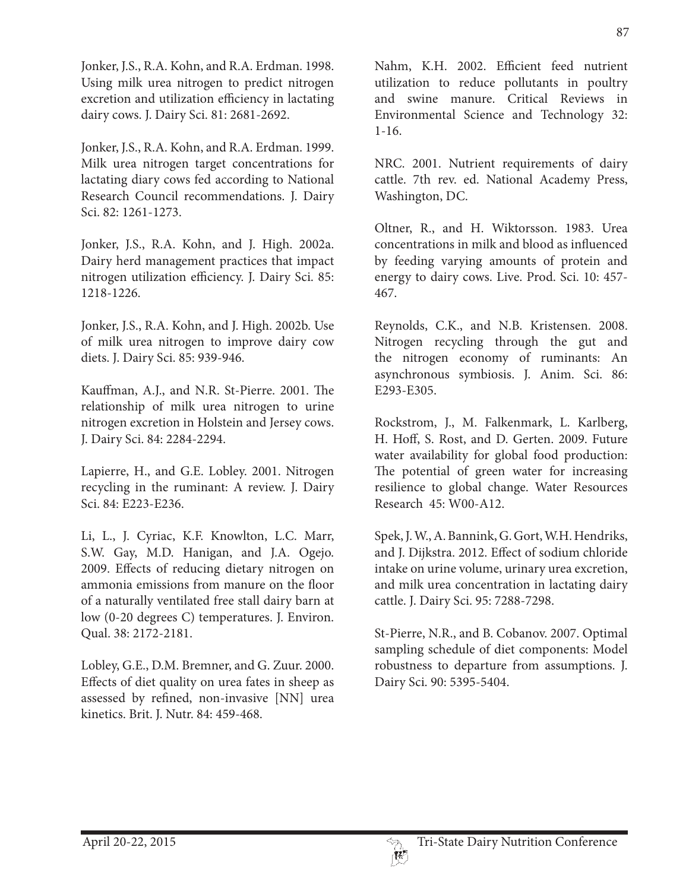Jonker, J.S., R.A. Kohn, and R.A. Erdman. 1998. Using milk urea nitrogen to predict nitrogen excretion and utilization efficiency in lactating dairy cows. J. Dairy Sci. 81: 2681-2692.

Jonker, J.S., R.A. Kohn, and R.A. Erdman. 1999. Milk urea nitrogen target concentrations for lactating diary cows fed according to National Research Council recommendations. J. Dairy Sci. 82: 1261-1273.

Jonker, J.S., R.A. Kohn, and J. High. 2002a. Dairy herd management practices that impact nitrogen utilization efficiency. J. Dairy Sci. 85: 1218-1226.

Jonker, J.S., R.A. Kohn, and J. High. 2002b. Use of milk urea nitrogen to improve dairy cow diets. J. Dairy Sci. 85: 939-946.

Kauffman, A.J., and N.R. St-Pierre. 2001. The relationship of milk urea nitrogen to urine nitrogen excretion in Holstein and Jersey cows. J. Dairy Sci. 84: 2284-2294.

Lapierre, H., and G.E. Lobley. 2001. Nitrogen recycling in the ruminant: A review. J. Dairy Sci. 84: E223-E236.

Li, L., J. Cyriac, K.F. Knowlton, L.C. Marr, S.W. Gay, M.D. Hanigan, and J.A. Ogejo. 2009. Effects of reducing dietary nitrogen on ammonia emissions from manure on the floor of a naturally ventilated free stall dairy barn at low (0-20 degrees C) temperatures. J. Environ. Qual. 38: 2172-2181.

Lobley, G.E., D.M. Bremner, and G. Zuur. 2000. Effects of diet quality on urea fates in sheep as assessed by refined, non-invasive [NN] urea kinetics. Brit. J. Nutr. 84: 459-468.

Nahm, K.H. 2002. Efficient feed nutrient utilization to reduce pollutants in poultry and swine manure. Critical Reviews in Environmental Science and Technology 32: 1-16.

NRC. 2001. Nutrient requirements of dairy cattle. 7th rev. ed. National Academy Press, Washington, DC.

Oltner, R., and H. Wiktorsson. 1983. Urea concentrations in milk and blood as influenced by feeding varying amounts of protein and energy to dairy cows. Live. Prod. Sci. 10: 457- 467.

Reynolds, C.K., and N.B. Kristensen. 2008. Nitrogen recycling through the gut and the nitrogen economy of ruminants: An asynchronous symbiosis. J. Anim. Sci. 86: E293-E305.

Rockstrom, J., M. Falkenmark, L. Karlberg, H. Hoff, S. Rost, and D. Gerten. 2009. Future water availability for global food production: The potential of green water for increasing resilience to global change. Water Resources Research 45: W00-A12.

Spek, J. W., A. Bannink, G. Gort, W.H. Hendriks, and J. Dijkstra. 2012. Effect of sodium chloride intake on urine volume, urinary urea excretion, and milk urea concentration in lactating dairy cattle. J. Dairy Sci. 95: 7288-7298.

St-Pierre, N.R., and B. Cobanov. 2007. Optimal sampling schedule of diet components: Model robustness to departure from assumptions. J. Dairy Sci. 90: 5395-5404.

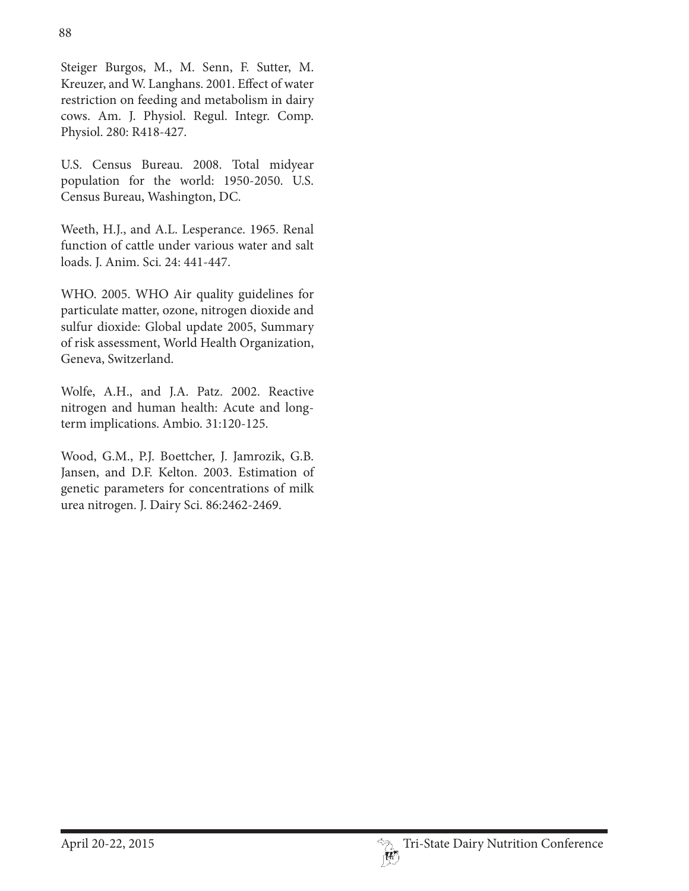Steiger Burgos, M., M. Senn, F. Sutter, M. Kreuzer, and W. Langhans. 2001. Effect of water restriction on feeding and metabolism in dairy cows. Am. J. Physiol. Regul. Integr. Comp. Physiol. 280: R418-427.

U.S. Census Bureau. 2008. Total midyear population for the world: 1950-2050. U.S. Census Bureau, Washington, DC.

Weeth, H.J., and A.L. Lesperance. 1965. Renal function of cattle under various water and salt loads. J. Anim. Sci. 24: 441-447.

WHO. 2005. WHO Air quality guidelines for particulate matter, ozone, nitrogen dioxide and sulfur dioxide: Global update 2005, Summary of risk assessment, World Health Organization, Geneva, Switzerland.

Wolfe, A.H., and J.A. Patz. 2002. Reactive nitrogen and human health: Acute and longterm implications. Ambio. 31:120-125.

Wood, G.M., P.J. Boettcher, J. Jamrozik, G.B. Jansen, and D.F. Kelton. 2003. Estimation of genetic parameters for concentrations of milk urea nitrogen. J. Dairy Sci. 86:2462-2469.